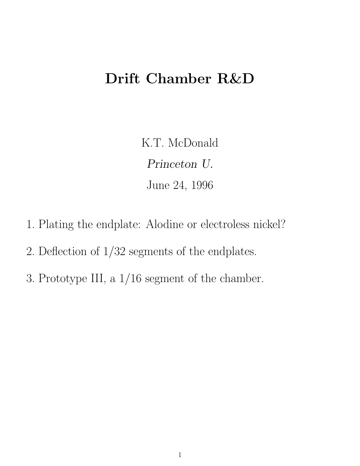## Drift Chamber R&D

K.T. McDonald Princeton U. June 24, 1996

- 1. Plating the endplate: Alodine or electroless nickel?
- 2. Deflection of 1/32 segments of the endplates.
- 3. Prototype III, a 1/16 segment of the chamber.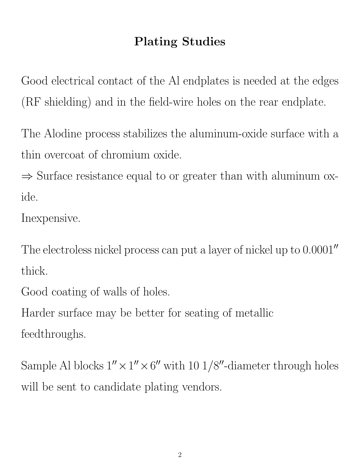## Plating Studies

Good electrical contact of the Al endplates is needed at the edges (RF shielding) and in the field-wire holes on the rear endplate.

The Alodine process stabilizes the aluminum-oxide surface with a thin overcoat of chromium oxide.

 $\Rightarrow$  Surface resistance equal to or greater than with aluminum oxide.

Inexpensive.

The electroless nickel process can put a layer of nickel up to  $0.0001''$ thick.

Good coating of walls of holes.

Harder surface may be better for seating of metallic feedthroughs.

Sample Al blocks  $1'' \times 1'' \times 6''$  with 10 1/8"-diameter through holes will be sent to candidate plating vendors.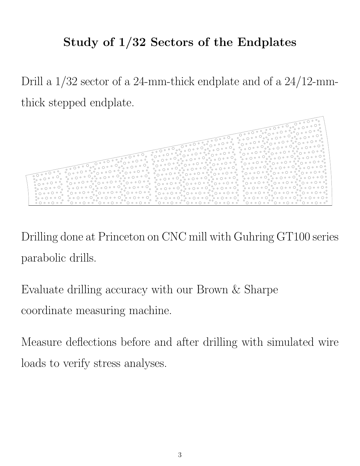## Study of 1/32 Sectors of the Endplates

Drill a 1/32 sector of a 24-mm-thick endplate and of a 24/12-mmthick stepped endplate.



Drilling done at Princeton on CNC mill with Guhring GT100 series parabolic drills.

Evaluate drilling accuracy with our Brown & Sharpe coordinate measuring machine.

Measure deflections before and after drilling with simulated wire loads to verify stress analyses.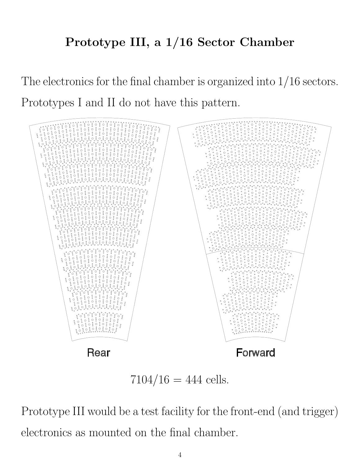The electronics for the final chamber is organized into 1/16 sectors. Prototypes I and II do not have this pattern.



 $7104/16 = 444$  cells.

Prototype III would be a test facility for the front-end (and trigger) electronics as mounted on the final chamber.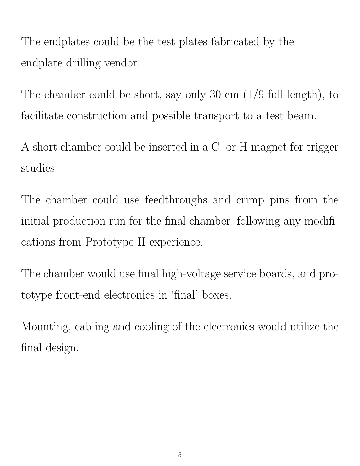The endplates could be the test plates fabricated by the endplate drilling vendor.

The chamber could be short, say only 30 cm (1/9 full length), to facilitate construction and possible transport to a test beam.

A short chamber could be inserted in a C- or H-magnet for trigger studies.

The chamber could use feedthroughs and crimp pins from the initial production run for the final chamber, following any modifications from Prototype II experience.

The chamber would use final high-voltage service boards, and prototype front-end electronics in 'final' boxes.

Mounting, cabling and cooling of the electronics would utilize the final design.